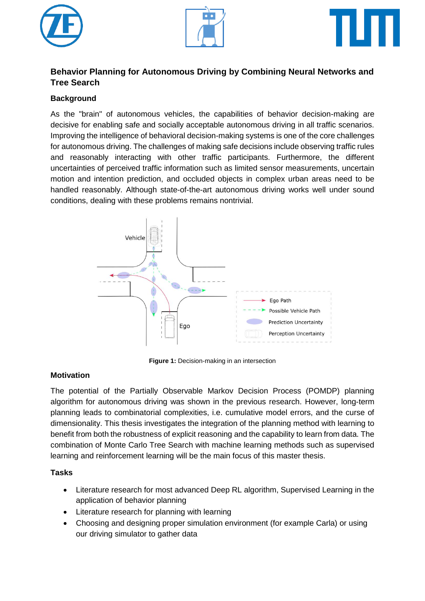





# **Behavior Planning for Autonomous Driving by Combining Neural Networks and Tree Search**

## **Background**

As the "brain" of autonomous vehicles, the capabilities of behavior decision-making are decisive for enabling safe and socially acceptable autonomous driving in all traffic scenarios. Improving the intelligence of behavioral decision-making systems is one of the core challenges for autonomous driving. The challenges of making safe decisions include observing traffic rules and reasonably interacting with other traffic participants. Furthermore, the different uncertainties of perceived traffic information such as limited sensor measurements, uncertain motion and intention prediction, and occluded objects in complex urban areas need to be handled reasonably. Although state-of-the-art autonomous driving works well under sound conditions, dealing with these problems remains nontrivial.



**Figure 1:** Decision-making in an intersection

## **Motivation**

The potential of the Partially Observable Markov Decision Process (POMDP) planning algorithm for autonomous driving was shown in the previous research. However, long-term planning leads to combinatorial complexities, i.e. cumulative model errors, and the curse of dimensionality. This thesis investigates the integration of the planning method with learning to benefit from both the robustness of explicit reasoning and the capability to learn from data. The combination of Monte Carlo Tree Search with machine learning methods such as supervised learning and reinforcement learning will be the main focus of this master thesis.

## **Tasks**

- Literature research for most advanced Deep RL algorithm, Supervised Learning in the application of behavior planning
- Literature research for planning with learning
- Choosing and designing proper simulation environment (for example Carla) or using our driving simulator to gather data